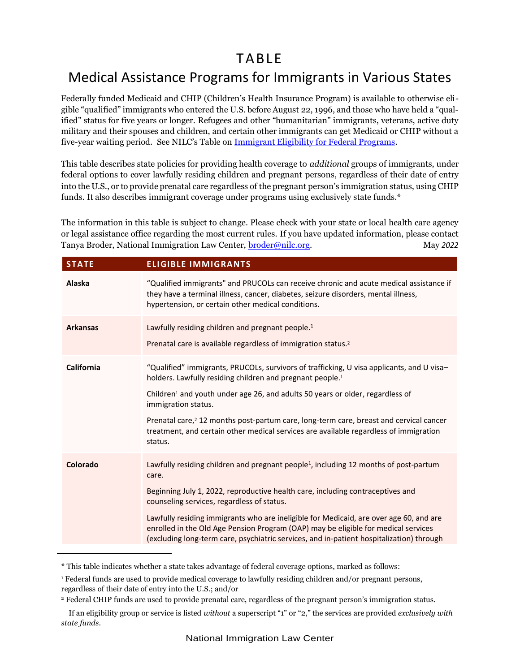## TA BLE

## Medical Assistance Programs for Immigrants in Various States

Federally funded Medicaid and CHIP (Children's Health Insurance Program) is available to otherwise eligible "qualified" immigrants who entered the U.S. before August 22, 1996, and those who have held a "qualified" status for five years or longer. Refugees and other "humanitarian" immigrants, veterans, active duty military and their spouses and children, and certain other immigrants can get Medicaid or CHIP without a five-year waiting period. See NILC's Table on [Immigrant Eligibility for Federal Programs.](https://www.nilc.org/wp-content/uploads/2015/11/tbl1_ovrvw-fed-pgms.pdf)

This table describes state policies for providing health coverage to *additional* groups of immigrants, under federal options to cover lawfully residing children and pregnant persons, regardless of their date of entry into the U.S., or to provide prenatal care regardless of the pregnant person's immigration status, using CHIP funds. It also describes immigrant coverage under programs using exclusively state funds.\*

The information in this table is subject to change. Please check with your state or local health care agency or legal assistance office regarding the most current rules. If you have updated information, please contact Tanya Broder, National Immigration Law Center, [broder@nilc.org.](mailto:broder@nilc.org) May 2022

| <b>STATE</b>    | <b>ELIGIBLE IMMIGRANTS</b>                                                                                                                                                                                                                                                                                                                                                                                                                                                                                            |
|-----------------|-----------------------------------------------------------------------------------------------------------------------------------------------------------------------------------------------------------------------------------------------------------------------------------------------------------------------------------------------------------------------------------------------------------------------------------------------------------------------------------------------------------------------|
| Alaska          | "Qualified immigrants" and PRUCOLs can receive chronic and acute medical assistance if<br>they have a terminal illness, cancer, diabetes, seizure disorders, mental illness,<br>hypertension, or certain other medical conditions.                                                                                                                                                                                                                                                                                    |
| <b>Arkansas</b> | Lawfully residing children and pregnant people. <sup>1</sup><br>Prenatal care is available regardless of immigration status. <sup>2</sup>                                                                                                                                                                                                                                                                                                                                                                             |
| California      | "Qualified" immigrants, PRUCOLs, survivors of trafficking, U visa applicants, and U visa-<br>holders. Lawfully residing children and pregnant people. <sup>1</sup><br>Children <sup>1</sup> and youth under age 26, and adults 50 years or older, regardless of<br>immigration status.<br>Prenatal care, <sup>2</sup> 12 months post-partum care, long-term care, breast and cervical cancer<br>treatment, and certain other medical services are available regardless of immigration<br>status.                      |
| Colorado        | Lawfully residing children and pregnant people <sup>1</sup> , including 12 months of post-partum<br>care.<br>Beginning July 1, 2022, reproductive health care, including contraceptives and<br>counseling services, regardless of status.<br>Lawfully residing immigrants who are ineligible for Medicaid, are over age 60, and are<br>enrolled in the Old Age Pension Program (OAP) may be eligible for medical services<br>(excluding long-term care, psychiatric services, and in-patient hospitalization) through |

<sup>\*</sup> This table indicates whether a state takes advantage of federal coverage options, marked as follows:

<sup>1</sup> Federal funds are used to provide medical coverage to lawfully residing children and/or pregnant persons, regardless of their date of entry into the U.S.; and/or

<sup>2</sup> Federal CHIP funds are used to provide prenatal care, regardless of the pregnant person's immigration status.

If an eligibility group or service is listed *without* a superscript "1" or "2," the services are provided *exclusively with state funds*.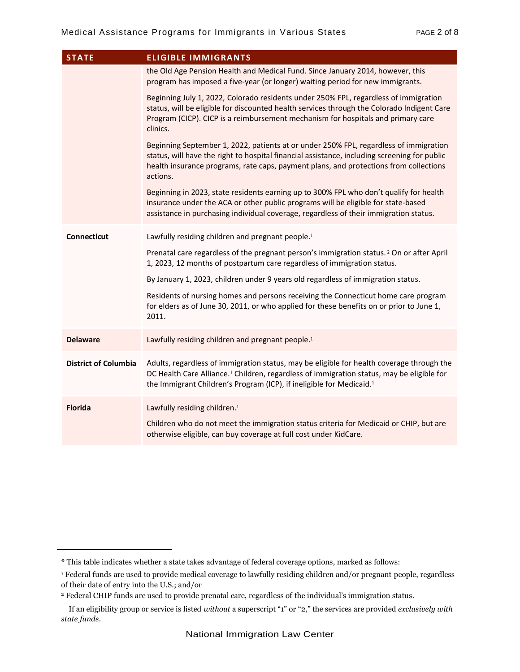| <b>STATE</b>                | <b>ELIGIBLE IMMIGRANTS</b>                                                                                                                                                                                                                                                                 |
|-----------------------------|--------------------------------------------------------------------------------------------------------------------------------------------------------------------------------------------------------------------------------------------------------------------------------------------|
|                             | the Old Age Pension Health and Medical Fund. Since January 2014, however, this<br>program has imposed a five-year (or longer) waiting period for new immigrants.                                                                                                                           |
|                             | Beginning July 1, 2022, Colorado residents under 250% FPL, regardless of immigration<br>status, will be eligible for discounted health services through the Colorado Indigent Care<br>Program (CICP). CICP is a reimbursement mechanism for hospitals and primary care<br>clinics.         |
|                             | Beginning September 1, 2022, patients at or under 250% FPL, regardless of immigration<br>status, will have the right to hospital financial assistance, including screening for public<br>health insurance programs, rate caps, payment plans, and protections from collections<br>actions. |
|                             | Beginning in 2023, state residents earning up to 300% FPL who don't qualify for health<br>insurance under the ACA or other public programs will be eligible for state-based<br>assistance in purchasing individual coverage, regardless of their immigration status.                       |
| Connecticut                 | Lawfully residing children and pregnant people. <sup>1</sup>                                                                                                                                                                                                                               |
|                             | Prenatal care regardless of the pregnant person's immigration status. <sup>2</sup> On or after April<br>1, 2023, 12 months of postpartum care regardless of immigration status.                                                                                                            |
|                             | By January 1, 2023, children under 9 years old regardless of immigration status.                                                                                                                                                                                                           |
|                             | Residents of nursing homes and persons receiving the Connecticut home care program<br>for elders as of June 30, 2011, or who applied for these benefits on or prior to June 1,<br>2011.                                                                                                    |
| <b>Delaware</b>             | Lawfully residing children and pregnant people. <sup>1</sup>                                                                                                                                                                                                                               |
| <b>District of Columbia</b> | Adults, regardless of immigration status, may be eligible for health coverage through the<br>DC Health Care Alliance. <sup>1</sup> Children, regardless of immigration status, may be eligible for<br>the Immigrant Children's Program (ICP), if ineligible for Medicaid. <sup>1</sup>     |
| <b>Florida</b>              | Lawfully residing children. <sup>1</sup><br>Children who do not meet the immigration status criteria for Medicaid or CHIP, but are<br>otherwise eligible, can buy coverage at full cost under KidCare.                                                                                     |

<sup>\*</sup> This table indicates whether a state takes advantage of federal coverage options, marked as follows:

<sup>1</sup> Federal funds are used to provide medical coverage to lawfully residing children and/or pregnant people, regardless of their date of entry into the U.S.; and/or

<sup>2</sup> Federal CHIP funds are used to provide prenatal care, regardless of the individual's immigration status.

If an eligibility group or service is listed *without* a superscript "1" or "2," the services are provided *exclusively with state funds*.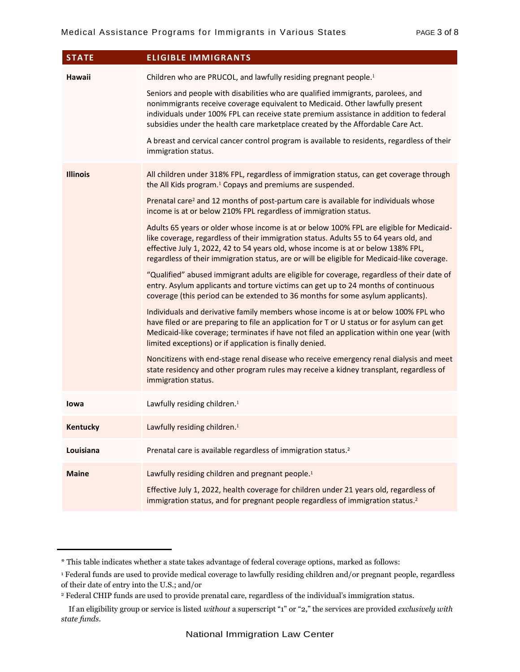| <b>STATE</b>    | <b>ELIGIBLE IMMIGRANTS</b>                                                                                                                                                                                                                                                                                                                                                                                                                                                                                                                                                                                                                                                                                                                                                                                                                                                                                                                                                                                                                                                                                                                                                                                                                                                                                                                                                                                                                                                                                                                      |
|-----------------|-------------------------------------------------------------------------------------------------------------------------------------------------------------------------------------------------------------------------------------------------------------------------------------------------------------------------------------------------------------------------------------------------------------------------------------------------------------------------------------------------------------------------------------------------------------------------------------------------------------------------------------------------------------------------------------------------------------------------------------------------------------------------------------------------------------------------------------------------------------------------------------------------------------------------------------------------------------------------------------------------------------------------------------------------------------------------------------------------------------------------------------------------------------------------------------------------------------------------------------------------------------------------------------------------------------------------------------------------------------------------------------------------------------------------------------------------------------------------------------------------------------------------------------------------|
| Hawaii          | Children who are PRUCOL, and lawfully residing pregnant people. <sup>1</sup><br>Seniors and people with disabilities who are qualified immigrants, parolees, and<br>nonimmigrants receive coverage equivalent to Medicaid. Other lawfully present<br>individuals under 100% FPL can receive state premium assistance in addition to federal<br>subsidies under the health care marketplace created by the Affordable Care Act.<br>A breast and cervical cancer control program is available to residents, regardless of their<br>immigration status.                                                                                                                                                                                                                                                                                                                                                                                                                                                                                                                                                                                                                                                                                                                                                                                                                                                                                                                                                                                            |
| <b>Illinois</b> | All children under 318% FPL, regardless of immigration status, can get coverage through<br>the All Kids program. <sup>1</sup> Copays and premiums are suspended.<br>Prenatal care <sup>2</sup> and 12 months of post-partum care is available for individuals whose<br>income is at or below 210% FPL regardless of immigration status.<br>Adults 65 years or older whose income is at or below 100% FPL are eligible for Medicaid-<br>like coverage, regardless of their immigration status. Adults 55 to 64 years old, and<br>effective July 1, 2022, 42 to 54 years old, whose income is at or below 138% FPL,<br>regardless of their immigration status, are or will be eligible for Medicaid-like coverage.<br>"Qualified" abused immigrant adults are eligible for coverage, regardless of their date of<br>entry. Asylum applicants and torture victims can get up to 24 months of continuous<br>coverage (this period can be extended to 36 months for some asylum applicants).<br>Individuals and derivative family members whose income is at or below 100% FPL who<br>have filed or are preparing to file an application for T or U status or for asylum can get<br>Medicaid-like coverage; terminates if have not filed an application within one year (with<br>limited exceptions) or if application is finally denied.<br>Noncitizens with end-stage renal disease who receive emergency renal dialysis and meet<br>state residency and other program rules may receive a kidney transplant, regardless of<br>immigration status. |
| lowa            | Lawfully residing children. <sup>1</sup>                                                                                                                                                                                                                                                                                                                                                                                                                                                                                                                                                                                                                                                                                                                                                                                                                                                                                                                                                                                                                                                                                                                                                                                                                                                                                                                                                                                                                                                                                                        |
| Kentucky        | Lawfully residing children. <sup>1</sup>                                                                                                                                                                                                                                                                                                                                                                                                                                                                                                                                                                                                                                                                                                                                                                                                                                                                                                                                                                                                                                                                                                                                                                                                                                                                                                                                                                                                                                                                                                        |
| Louisiana       | Prenatal care is available regardless of immigration status. <sup>2</sup>                                                                                                                                                                                                                                                                                                                                                                                                                                                                                                                                                                                                                                                                                                                                                                                                                                                                                                                                                                                                                                                                                                                                                                                                                                                                                                                                                                                                                                                                       |
| <b>Maine</b>    | Lawfully residing children and pregnant people. <sup>1</sup><br>Effective July 1, 2022, health coverage for children under 21 years old, regardless of<br>immigration status, and for pregnant people regardless of immigration status. <sup>2</sup>                                                                                                                                                                                                                                                                                                                                                                                                                                                                                                                                                                                                                                                                                                                                                                                                                                                                                                                                                                                                                                                                                                                                                                                                                                                                                            |

<sup>\*</sup> This table indicates whether a state takes advantage of federal coverage options, marked as follows:

<sup>1</sup> Federal funds are used to provide medical coverage to lawfully residing children and/or pregnant people, regardless of their date of entry into the U.S.; and/or

<sup>2</sup> Federal CHIP funds are used to provide prenatal care, regardless of the individual's immigration status.

If an eligibility group or service is listed *without* a superscript "1" or "2," the services are provided *exclusively with state funds*.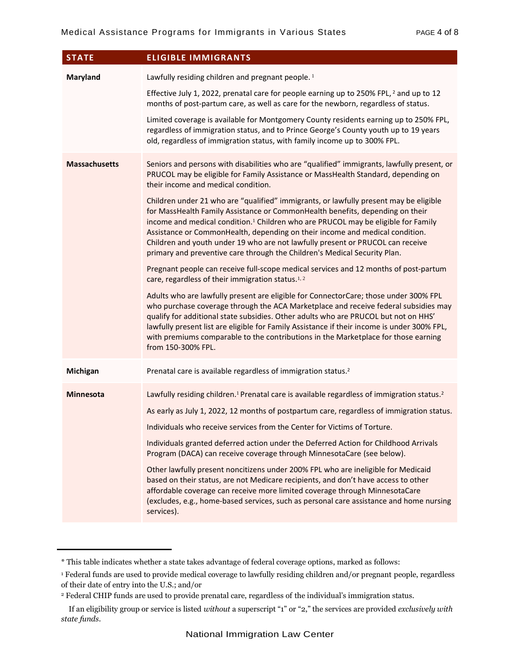| <b>STATE</b>         | <b>ELIGIBLE IMMIGRANTS</b>                                                                                                                                                                                                                                                                                                                                                                                                                                                                                                                                                                                                                                                                                                                                                                                                                                                                                                                                                                                                                                                                                                                                                                                                                                                    |
|----------------------|-------------------------------------------------------------------------------------------------------------------------------------------------------------------------------------------------------------------------------------------------------------------------------------------------------------------------------------------------------------------------------------------------------------------------------------------------------------------------------------------------------------------------------------------------------------------------------------------------------------------------------------------------------------------------------------------------------------------------------------------------------------------------------------------------------------------------------------------------------------------------------------------------------------------------------------------------------------------------------------------------------------------------------------------------------------------------------------------------------------------------------------------------------------------------------------------------------------------------------------------------------------------------------|
| Maryland             | Lawfully residing children and pregnant people. <sup>1</sup><br>Effective July 1, 2022, prenatal care for people earning up to 250% FPL, <sup>2</sup> and up to 12<br>months of post-partum care, as well as care for the newborn, regardless of status.                                                                                                                                                                                                                                                                                                                                                                                                                                                                                                                                                                                                                                                                                                                                                                                                                                                                                                                                                                                                                      |
|                      | Limited coverage is available for Montgomery County residents earning up to 250% FPL,<br>regardless of immigration status, and to Prince George's County youth up to 19 years<br>old, regardless of immigration status, with family income up to 300% FPL.                                                                                                                                                                                                                                                                                                                                                                                                                                                                                                                                                                                                                                                                                                                                                                                                                                                                                                                                                                                                                    |
| <b>Massachusetts</b> | Seniors and persons with disabilities who are "qualified" immigrants, lawfully present, or<br>PRUCOL may be eligible for Family Assistance or MassHealth Standard, depending on<br>their income and medical condition.<br>Children under 21 who are "qualified" immigrants, or lawfully present may be eligible<br>for MassHealth Family Assistance or CommonHealth benefits, depending on their<br>income and medical condition. <sup>1</sup> Children who are PRUCOL may be eligible for Family<br>Assistance or CommonHealth, depending on their income and medical condition.<br>Children and youth under 19 who are not lawfully present or PRUCOL can receive<br>primary and preventive care through the Children's Medical Security Plan.<br>Pregnant people can receive full-scope medical services and 12 months of post-partum<br>care, regardless of their immigration status. <sup>1,2</sup><br>Adults who are lawfully present are eligible for ConnectorCare; those under 300% FPL<br>who purchase coverage through the ACA Marketplace and receive federal subsidies may<br>qualify for additional state subsidies. Other adults who are PRUCOL but not on HHS'<br>lawfully present list are eligible for Family Assistance if their income is under 300% FPL, |
|                      | with premiums comparable to the contributions in the Marketplace for those earning<br>from 150-300% FPL.                                                                                                                                                                                                                                                                                                                                                                                                                                                                                                                                                                                                                                                                                                                                                                                                                                                                                                                                                                                                                                                                                                                                                                      |
| Michigan             | Prenatal care is available regardless of immigration status. <sup>2</sup>                                                                                                                                                                                                                                                                                                                                                                                                                                                                                                                                                                                                                                                                                                                                                                                                                                                                                                                                                                                                                                                                                                                                                                                                     |
| <b>Minnesota</b>     | Lawfully residing children. <sup>1</sup> Prenatal care is available regardless of immigration status. <sup>2</sup><br>As early as July 1, 2022, 12 months of postpartum care, regardless of immigration status.<br>Individuals who receive services from the Center for Victims of Torture.<br>Individuals granted deferred action under the Deferred Action for Childhood Arrivals<br>Program (DACA) can receive coverage through MinnesotaCare (see below).<br>Other lawfully present noncitizens under 200% FPL who are ineligible for Medicaid<br>based on their status, are not Medicare recipients, and don't have access to other<br>affordable coverage can receive more limited coverage through MinnesotaCare<br>(excludes, e.g., home-based services, such as personal care assistance and home nursing<br>services).                                                                                                                                                                                                                                                                                                                                                                                                                                              |

<sup>\*</sup> This table indicates whether a state takes advantage of federal coverage options, marked as follows:

<sup>1</sup> Federal funds are used to provide medical coverage to lawfully residing children and/or pregnant people, regardless of their date of entry into the U.S.; and/or

<sup>2</sup> Federal CHIP funds are used to provide prenatal care, regardless of the individual's immigration status.

If an eligibility group or service is listed *without* a superscript "1" or "2," the services are provided *exclusively with state funds*.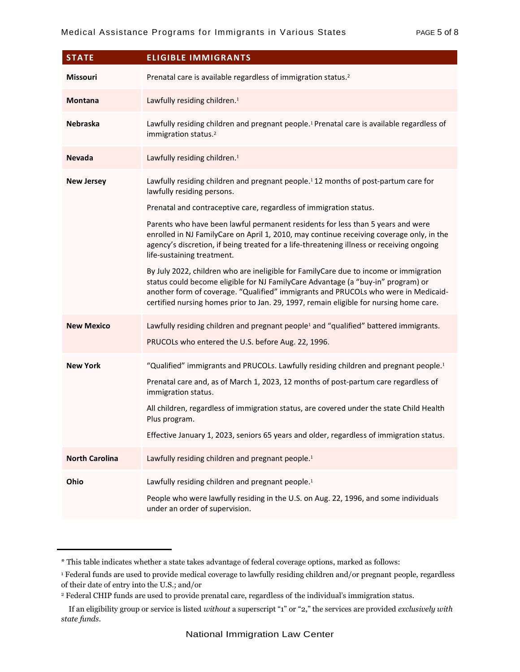| <b>STATE</b>          | <b>ELIGIBLE IMMIGRANTS</b>                                                                                                                                                                                                                                                                                                                                                                                              |
|-----------------------|-------------------------------------------------------------------------------------------------------------------------------------------------------------------------------------------------------------------------------------------------------------------------------------------------------------------------------------------------------------------------------------------------------------------------|
| Missouri              | Prenatal care is available regardless of immigration status. <sup>2</sup>                                                                                                                                                                                                                                                                                                                                               |
| <b>Montana</b>        | Lawfully residing children. <sup>1</sup>                                                                                                                                                                                                                                                                                                                                                                                |
| Nebraska              | Lawfully residing children and pregnant people. <sup>1</sup> Prenatal care is available regardless of<br>immigration status. <sup>2</sup>                                                                                                                                                                                                                                                                               |
| <b>Nevada</b>         | Lawfully residing children. <sup>1</sup>                                                                                                                                                                                                                                                                                                                                                                                |
| <b>New Jersey</b>     | Lawfully residing children and pregnant people. <sup>1</sup> 12 months of post-partum care for<br>lawfully residing persons.                                                                                                                                                                                                                                                                                            |
|                       | Prenatal and contraceptive care, regardless of immigration status.<br>Parents who have been lawful permanent residents for less than 5 years and were<br>enrolled in NJ FamilyCare on April 1, 2010, may continue receiving coverage only, in the<br>agency's discretion, if being treated for a life-threatening illness or receiving ongoing<br>life-sustaining treatment.                                            |
|                       | By July 2022, children who are ineligible for FamilyCare due to income or immigration<br>status could become eligible for NJ FamilyCare Advantage (a "buy-in" program) or<br>another form of coverage. "Qualified" immigrants and PRUCOLs who were in Medicaid-<br>certified nursing homes prior to Jan. 29, 1997, remain eligible for nursing home care.                                                               |
| <b>New Mexico</b>     | Lawfully residing children and pregnant people <sup>1</sup> and "qualified" battered immigrants.<br>PRUCOLs who entered the U.S. before Aug. 22, 1996.                                                                                                                                                                                                                                                                  |
| <b>New York</b>       | "Qualified" immigrants and PRUCOLs. Lawfully residing children and pregnant people. <sup>1</sup><br>Prenatal care and, as of March 1, 2023, 12 months of post-partum care regardless of<br>immigration status.<br>All children, regardless of immigration status, are covered under the state Child Health<br>Plus program.<br>Effective January 1, 2023, seniors 65 years and older, regardless of immigration status. |
| <b>North Carolina</b> | Lawfully residing children and pregnant people. <sup>1</sup>                                                                                                                                                                                                                                                                                                                                                            |
| Ohio                  | Lawfully residing children and pregnant people. <sup>1</sup><br>People who were lawfully residing in the U.S. on Aug. 22, 1996, and some individuals<br>under an order of supervision.                                                                                                                                                                                                                                  |

<sup>\*</sup> This table indicates whether a state takes advantage of federal coverage options, marked as follows:

<sup>1</sup> Federal funds are used to provide medical coverage to lawfully residing children and/or pregnant people, regardless of their date of entry into the U.S.; and/or

<sup>2</sup> Federal CHIP funds are used to provide prenatal care, regardless of the individual's immigration status.

If an eligibility group or service is listed *without* a superscript "1" or "2," the services are provided *exclusively with state funds*.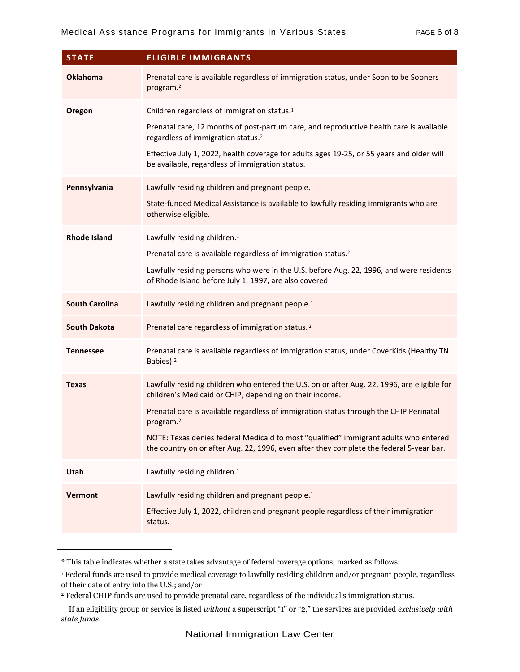| <b>STATE</b>          | <b>ELIGIBLE IMMIGRANTS</b>                                                                                                                                                                                                                                                                                                                                                                                                                                                |
|-----------------------|---------------------------------------------------------------------------------------------------------------------------------------------------------------------------------------------------------------------------------------------------------------------------------------------------------------------------------------------------------------------------------------------------------------------------------------------------------------------------|
| <b>Oklahoma</b>       | Prenatal care is available regardless of immigration status, under Soon to be Sooners<br>program. <sup>2</sup>                                                                                                                                                                                                                                                                                                                                                            |
| Oregon                | Children regardless of immigration status. <sup>1</sup><br>Prenatal care, 12 months of post-partum care, and reproductive health care is available<br>regardless of immigration status. <sup>2</sup><br>Effective July 1, 2022, health coverage for adults ages 19-25, or 55 years and older will<br>be available, regardless of immigration status.                                                                                                                      |
| Pennsylvania          | Lawfully residing children and pregnant people. <sup>1</sup><br>State-funded Medical Assistance is available to lawfully residing immigrants who are<br>otherwise eligible.                                                                                                                                                                                                                                                                                               |
| <b>Rhode Island</b>   | Lawfully residing children. <sup>1</sup><br>Prenatal care is available regardless of immigration status. <sup>2</sup><br>Lawfully residing persons who were in the U.S. before Aug. 22, 1996, and were residents<br>of Rhode Island before July 1, 1997, are also covered.                                                                                                                                                                                                |
| <b>South Carolina</b> | Lawfully residing children and pregnant people. <sup>1</sup>                                                                                                                                                                                                                                                                                                                                                                                                              |
| <b>South Dakota</b>   | Prenatal care regardless of immigration status. <sup>2</sup>                                                                                                                                                                                                                                                                                                                                                                                                              |
| <b>Tennessee</b>      | Prenatal care is available regardless of immigration status, under CoverKids (Healthy TN<br>Babies). <sup>2</sup>                                                                                                                                                                                                                                                                                                                                                         |
| <b>Texas</b>          | Lawfully residing children who entered the U.S. on or after Aug. 22, 1996, are eligible for<br>children's Medicaid or CHIP, depending on their income. <sup>1</sup><br>Prenatal care is available regardless of immigration status through the CHIP Perinatal<br>program. <sup>2</sup><br>NOTE: Texas denies federal Medicaid to most "qualified" immigrant adults who entered<br>the country on or after Aug. 22, 1996, even after they complete the federal 5-year bar. |
| Utah                  | Lawfully residing children. <sup>1</sup>                                                                                                                                                                                                                                                                                                                                                                                                                                  |
| <b>Vermont</b>        | Lawfully residing children and pregnant people. <sup>1</sup><br>Effective July 1, 2022, children and pregnant people regardless of their immigration<br>status.                                                                                                                                                                                                                                                                                                           |

<sup>\*</sup> This table indicates whether a state takes advantage of federal coverage options, marked as follows:

<sup>1</sup> Federal funds are used to provide medical coverage to lawfully residing children and/or pregnant people, regardless of their date of entry into the U.S.; and/or

<sup>2</sup> Federal CHIP funds are used to provide prenatal care, regardless of the individual's immigration status.

If an eligibility group or service is listed *without* a superscript "1" or "2," the services are provided *exclusively with state funds*.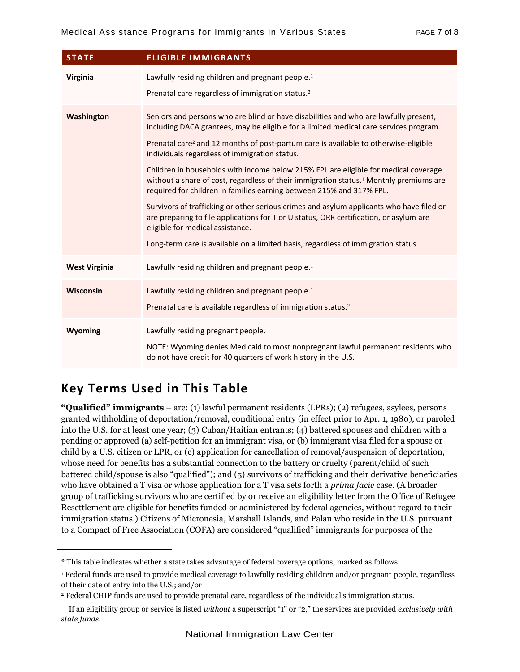| <b>STATE</b>         | <b>ELIGIBLE IMMIGRANTS</b>                                                                                                                                                                                                                                                                                                                                                                                                                                                                                                                                                                                                                                                                                                                                                                                                                                                                                            |
|----------------------|-----------------------------------------------------------------------------------------------------------------------------------------------------------------------------------------------------------------------------------------------------------------------------------------------------------------------------------------------------------------------------------------------------------------------------------------------------------------------------------------------------------------------------------------------------------------------------------------------------------------------------------------------------------------------------------------------------------------------------------------------------------------------------------------------------------------------------------------------------------------------------------------------------------------------|
| Virginia             | Lawfully residing children and pregnant people. <sup>1</sup><br>Prenatal care regardless of immigration status. <sup>2</sup>                                                                                                                                                                                                                                                                                                                                                                                                                                                                                                                                                                                                                                                                                                                                                                                          |
| Washington           | Seniors and persons who are blind or have disabilities and who are lawfully present,<br>including DACA grantees, may be eligible for a limited medical care services program.<br>Prenatal care <sup>2</sup> and 12 months of post-partum care is available to otherwise-eligible<br>individuals regardless of immigration status.<br>Children in households with income below 215% FPL are eligible for medical coverage<br>without a share of cost, regardless of their immigration status. <sup>1</sup> Monthly premiums are<br>required for children in families earning between 215% and 317% FPL.<br>Survivors of trafficking or other serious crimes and asylum applicants who have filed or<br>are preparing to file applications for T or U status, ORR certification, or asylum are<br>eligible for medical assistance.<br>Long-term care is available on a limited basis, regardless of immigration status. |
| <b>West Virginia</b> | Lawfully residing children and pregnant people. <sup>1</sup>                                                                                                                                                                                                                                                                                                                                                                                                                                                                                                                                                                                                                                                                                                                                                                                                                                                          |
| <b>Wisconsin</b>     | Lawfully residing children and pregnant people. <sup>1</sup><br>Prenatal care is available regardless of immigration status. <sup>2</sup>                                                                                                                                                                                                                                                                                                                                                                                                                                                                                                                                                                                                                                                                                                                                                                             |
| Wyoming              | Lawfully residing pregnant people. <sup>1</sup><br>NOTE: Wyoming denies Medicaid to most nonpregnant lawful permanent residents who<br>do not have credit for 40 quarters of work history in the U.S.                                                                                                                                                                                                                                                                                                                                                                                                                                                                                                                                                                                                                                                                                                                 |

## **Key Terms Used in This Table**

**"Qualified" immigrants** – are: (1) lawful permanent residents (LPRs); (2) refugees, asylees, persons granted withholding of deportation/removal, conditional entry (in effect prior to Apr. 1, 1980), or paroled into the U.S. for at least one year; (3) Cuban/Haitian entrants; (4) battered spouses and children with a pending or approved (a) self-petition for an immigrant visa, or (b) immigrant visa filed for a spouse or child by a U.S. citizen or LPR, or (c) application for cancellation of removal/suspension of deportation, whose need for benefits has a substantial connection to the battery or cruelty (parent/child of such battered child/spouse is also "qualified"); and (5) survivors of trafficking and their derivative beneficiaries who have obtained a T visa or whose application for a T visa sets forth a *prima facie* case. (A broader group of trafficking survivors who are certified by or receive an eligibility letter from the Office of Refugee Resettlement are eligible for benefits funded or administered by federal agencies, without regard to their immigration status.) Citizens of Micronesia, Marshall Islands, and Palau who reside in the U.S. pursuant to a Compact of Free Association (COFA) are considered "qualified" immigrants for purposes of the

<sup>\*</sup> This table indicates whether a state takes advantage of federal coverage options, marked as follows:

<sup>1</sup> Federal funds are used to provide medical coverage to lawfully residing children and/or pregnant people, regardless of their date of entry into the U.S.; and/or

<sup>2</sup> Federal CHIP funds are used to provide prenatal care, regardless of the individual's immigration status.

If an eligibility group or service is listed *without* a superscript "1" or "2," the services are provided *exclusively with state funds*.